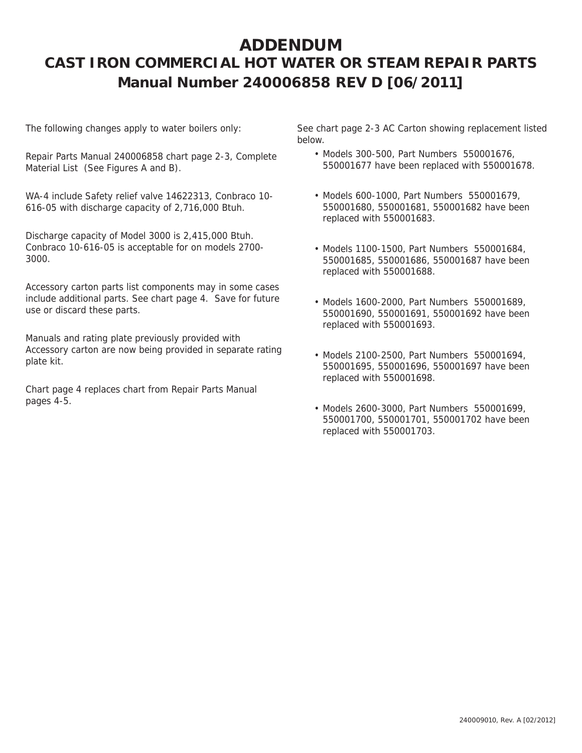## **ADDENDUM CAST IRON COMMERCIAL HOT WATER OR STEAM REPAIR PARTS Manual Number 240006858 REV D [06/2011]**

The following changes apply to water boilers only:

Repair Parts Manual 240006858 chart page 2-3, Complete Material List (See Figures A and B).

WA-4 include Safety relief valve 14622313, Conbraco 10- 616-05 with discharge capacity of 2,716,000 Btuh.

Discharge capacity of Model 3000 is 2,415,000 Btuh. Conbraco 10-616-05 is acceptable for on models 2700- 3000.

Accessory carton parts list components may in some cases include additional parts. See chart page 4. Save for future use or discard these parts.

Manuals and rating plate previously provided with Accessory carton are now being provided in separate rating plate kit.

Chart page 4 replaces chart from Repair Parts Manual pages 4-5.

See chart page 2-3 AC Carton showing replacement listed below.

- Models 300-500, Part Numbers 550001676, 550001677 have been replaced with 550001678.
- Models 600-1000, Part Numbers 550001679, 550001680, 550001681, 550001682 have been replaced with 550001683.
- Models 1100-1500, Part Numbers 550001684, 550001685, 550001686, 550001687 have been replaced with 550001688.
- Models 1600-2000, Part Numbers 550001689, 550001690, 550001691, 550001692 have been replaced with 550001693.
- Models 2100-2500, Part Numbers 550001694, 550001695, 550001696, 550001697 have been replaced with 550001698.
- Models 2600-3000, Part Numbers 550001699, 550001700, 550001701, 550001702 have been replaced with 550001703.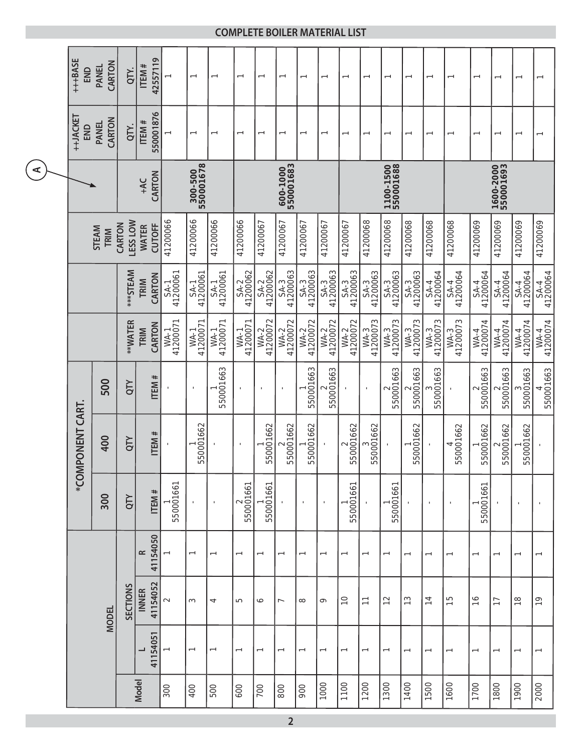|                      | +++BASE<br>END   | CARTON<br><b>PANEL</b> | QTY.                      | 42557119<br>ITEM#             | $\overline{ }$       | $\overline{\phantom{0}}$ | $\overline{\phantom{0}}$ | $\overline{\phantom{0}}$ | $\overline{\phantom{0}}$ | $\overline{\phantom{0}}$ | $\overline{\phantom{0}}$ | $\overline{\phantom{0}}$ | $\overline{\phantom{0}}$        | $\overline{\phantom{0}}$ | $\overline{\phantom{0}}$ | $\overline{\phantom{0}}$  | $\overline{\phantom{0}}$ | $\overline{\phantom{0}}$ | $\overline{\phantom{0}}$        | $\overline{\phantom{0}}$ | $\overline{\phantom{0}}$ | $\overline{ }$           |               |                |
|----------------------|------------------|------------------------|---------------------------|-------------------------------|----------------------|--------------------------|--------------------------|--------------------------|--------------------------|--------------------------|--------------------------|--------------------------|---------------------------------|--------------------------|--------------------------|---------------------------|--------------------------|--------------------------|---------------------------------|--------------------------|--------------------------|--------------------------|---------------|----------------|
|                      | ++JACKET<br>END  | CARTON<br><b>PANEL</b> | QTY.                      | 550001876<br>ITEM#            | $\overline{ }$       | $\overline{\phantom{0}}$ | $\overline{ }$           | $\overline{\phantom{0}}$ | $\overline{ }$           | $\overline{ }$           |                          | $\overline{ }$           | $\overline{ }$                  | $\overline{ }$           | $\overline{\phantom{0}}$ | $\overline{ }$            | $\overline{\phantom{0}}$ | $\overline{\phantom{0}}$ | $\overline{\phantom{m}}$        | $\overline{\phantom{0}}$ | $\overline{\phantom{0}}$ |                          |               |                |
| $\blacktriangleleft$ |                  |                        | CARTON<br>+AC             |                               | 300-500<br>550001678 |                          |                          | 600-1000<br>550001683    |                          |                          | 1100-1500                |                          |                                 | 1600-2000<br>550001693   |                          |                           |                          |                          |                                 |                          |                          |                          |               |                |
|                      |                  | STEAM<br>TRIM          | <b>LESS LOW</b><br>CARTON | <b>CUTOFF</b><br><b>WATER</b> | 41200066             | 41200066                 | 41200066                 | 41200066                 | 41200067                 | 41200067                 | 41200067                 | 41200067                 | 41200067                        | 41200068                 | 41200068                 | 41200068                  | 41200068                 | 41200068                 | 41200069                        | 41200069                 | 41200069                 | 41200069                 |               |                |
|                      |                  |                        | <b>***STEAM</b>           | CARTON<br>TRIM                | SA-1<br>41200061     | SA-1<br>41200061         | 41200061<br>$SA-1$       | SA-2<br>41200062         | SA-2<br>41200062         | SA-3<br>41200063         | SA-3<br>41200063         | SA-3<br>41200063         | SA-3<br>41200063                | SA-3<br>41200063         | SA-3<br>41200063         | SA-3<br>41200063          | SA-4<br>41200064         | SA-4<br>41200064         | 41200064<br>$SA-4$              | SA-4<br>41200064         | SA-4<br>41200064         | SA-4<br>41200064         |               |                |
|                      |                  |                        | **WATER                   | CARTON<br>TRIM                | WA-1<br>41200071     | WA-1<br>41200071         | WA-1<br>41200071         | WA-1<br>41200071         | WA-2<br>41200072         | WA-2<br>41200072         | WA-2<br>41200072         | WA-2<br>41200072         | WA-2<br>41200072                | WA-3<br>41200073         | WA-3<br>41200073         | WA-3<br>41200073          | WA-3<br>41200073         | WA-3<br>41200073         | WA-4<br>41200074                | WA-4<br>41200074         | WA-4<br>41200074         | WA-4<br>41200074         |               |                |
|                      |                  | 500                    | QTY                       | ITEM#                         |                      | $\mathbf{I}$             | 550001663                | $\mathbf{I}$             | $\blacksquare$           | $\blacksquare$           | 550001663                | 550001663                |                                 | $\mathbf{I}$             | 550001663                | 550001663                 | 550001663                |                          | 550001663<br>$\scriptstyle\sim$ | 550001663                | 550001663                | 550001663                |               |                |
|                      | *COMPONENT CART. | 400                    | QTY                       | ITEM#                         | $\mathbf{I}$         | 550001662                |                          | $\blacksquare$           | 550001662                | 550001662                | 550001662                | $\mathbf{I}$             | 550001662<br>$\scriptstyle\sim$ | 550001662                |                          | 550001662                 |                          | 550001662<br>4           | 550001662                       | 550001662                | 550001662                |                          |               |                |
|                      |                  | 300                    | QTY                       | ITEM#                         | 550001661            | $\mathbf{I}$             | $\blacksquare$           | 550001661                | 550001661                | $\blacksquare$           | $\blacksquare$           | $\mathbf{I}$             | 550001661                       | $\blacksquare$           | 550001661                |                           | $\blacksquare$           | $\mathbf{I}$             | 550001661                       |                          | $\mathbf{I}$             |                          |               |                |
|                      |                  |                        |                           | 41154050<br>œ                 |                      | $\overline{\phantom{0}}$ | $\overline{\phantom{0}}$ | $\overline{\phantom{0}}$ | $\overline{\phantom{0}}$ | $\overline{\phantom{0}}$ | $\overline{\phantom{0}}$ | $\overline{ }$           | $\overline{\phantom{0}}$        | $\overline{ }$           | $\overline{\phantom{0}}$ | $\overline{\phantom{0}}$  | $\overline{\phantom{0}}$ | $\overline{\phantom{0}}$ | $\overline{\phantom{0}}$        | $\overline{\phantom{0}}$ | $\overline{\phantom{0}}$ | $\overline{\phantom{0}}$ |               |                |
|                      |                  |                        |                           | <b>MODEL</b>                  | <b>SECTIONS</b>      | 41154052<br><b>INNER</b> | $\sim$                   | $\infty$                 | 4                        | 5                        | ∘                        | $\overline{ }$           | $\infty$                        | $\sigma$                 | $\supseteq$              | $\overline{\overline{a}}$ | $\overline{c}$           | $\frac{3}{2}$            | $\overline{1}$                  | $\frac{5}{1}$            | $\frac{6}{1}$            | $\overline{1}$           | $\frac{8}{1}$ | $\overline{0}$ |
|                      |                  |                        |                           | 41154051                      |                      | $\overline{ }$           | $\overline{\phantom{0}}$ | $\overline{\phantom{0}}$ | $\overline{\phantom{0}}$ | $\overline{\phantom{0}}$ | $\overline{\phantom{0}}$ | $\overline{\phantom{0}}$ | $\overline{ }$                  | $\overline{\phantom{0}}$ | $\overline{\phantom{0}}$ | $\overline{\phantom{0}}$  | $\overline{\phantom{0}}$ | $\overline{\phantom{0}}$ | $\overline{\phantom{0}}$        | $\overline{ }$           | $\overline{\phantom{0}}$ | $\overline{\phantom{0}}$ |               |                |
|                      |                  |                        |                           | <b>Model</b>                  | 300                  | 400                      | 500                      | 600                      | 700                      | 800                      | 900                      | 1000                     | 1100                            | 1200                     | 1300                     | 1400                      | 1500                     | 1600                     | 1700                            | 1800                     | 1900                     | 2000                     |               |                |

## **COMPLETE BOILER MATERIAL LIST**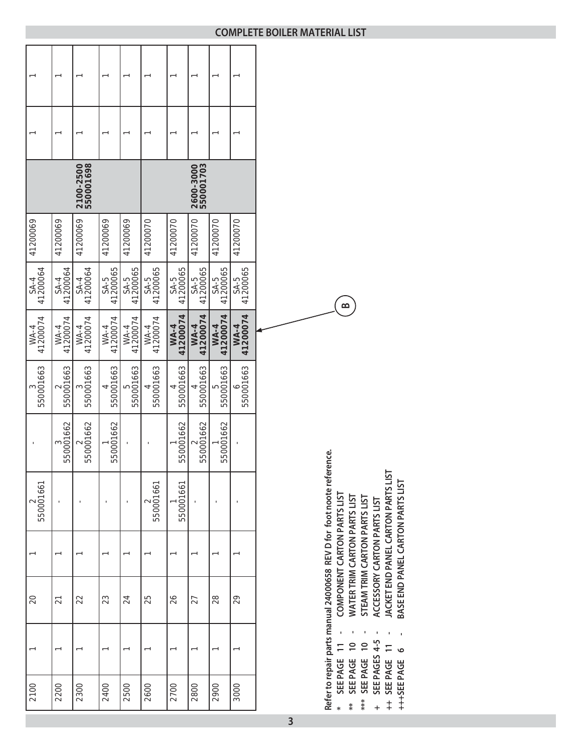|                    |                    | 2100-2500<br>550001698 |                  |                     |                  |                         | 2600-3000<br>550001703 |                         |                         |  |
|--------------------|--------------------|------------------------|------------------|---------------------|------------------|-------------------------|------------------------|-------------------------|-------------------------|--|
| 41200069           | 41200069           | 41200069               | 41200069         | 41200069            | 41200070         | 41200070                | 41200070               | 41200070                | 41200070                |  |
| SA-4<br>41200064   | 41200064<br>$SA-4$ | SA-4<br>41200064       | SA-5<br>41200065 | 41200065<br>$S-A-5$ | SA-5<br>41200065 | SA-5<br>41200065        | SA-5<br>41200065       | SA-5<br>41200065        | SA-5<br>41200065        |  |
| 41200074<br>$WA-4$ | WA-4<br>41200074   | WA-4<br>41200074       | WA-4<br>41200074 | 41200074<br>$WA-4$  | WA-4<br>41200074 | 41200074<br><b>WA-4</b> | WA-4<br>41200074       | 41200074<br><b>WA-4</b> | 41200074<br><b>WA-4</b> |  |
| 550001663          | 550001663          | 550001663              | 550001663        | 550001663<br>Б      | 550001663        | 550001663               | 550001663              | 550001663<br>5          | 550001663               |  |
|                    | 550001662          | 550001662              | 550001662        |                     |                  | 550001662               | 550001662              | 550001662               |                         |  |
| 550001661          |                    |                        |                  |                     | 550001661        | 550001661               |                        |                         |                         |  |
|                    |                    |                        |                  |                     |                  |                         |                        |                         |                         |  |
| 20                 | $\overline{2}$     | 22                     | 23               | 24                  | 25               | 26                      | 27                     | 28                      | 29                      |  |
|                    |                    |                        |                  |                     |                  |                         |                        |                         |                         |  |
| 2100               | 2200               | 2300                   | 2400             | 2500                | 2600             | 2700                    | 2800                   | 2900                    | 3000                    |  |

Refer to repair parts manual 24000658 REV D for foot noote reference. Refer to repair parts manual 24000658 REV D for foot noote reference.<br>\* SEE PAGE 11 - COMPONENT CARTON PARTS LIST<br>\*\* SEE PAGE 10 - WATER TRIM CARTON PARTS LIST<br>\*\*\* SEE PAGE 10 - STEAM TRIM CARTON PARTS LIST COMPONENT CARTON PARTS LIST J. SEE PAGE 11<br>SEE PAGE 10  $\ast$ 

WATER TRIM CARTON PARTS LIST  $***$ 

**B**

- STEAM TRIM CARTON PARTS LIST \*\*\* SEE PAGE 10
- JACKET END PANEL CARTON PARTS LIST ACCESSORY CARTON PARTS LIST **+ SEE PAGES 4-5 - ACCESSORY CARTON PARTS LIST** SEE PAGES 4-5 ++ SEE PAGE 11  $\ddot{\phantom{1}}$ 
	- **++ SEE PAGE 11 JACKET END PANEL CARTON PARTS LIST** BASE END PANEL CARTON PARTS LIST **+++SEE PAGE 6 - BASE END PANEL CARTON PARTS LIST**+++SEE PAGE 6